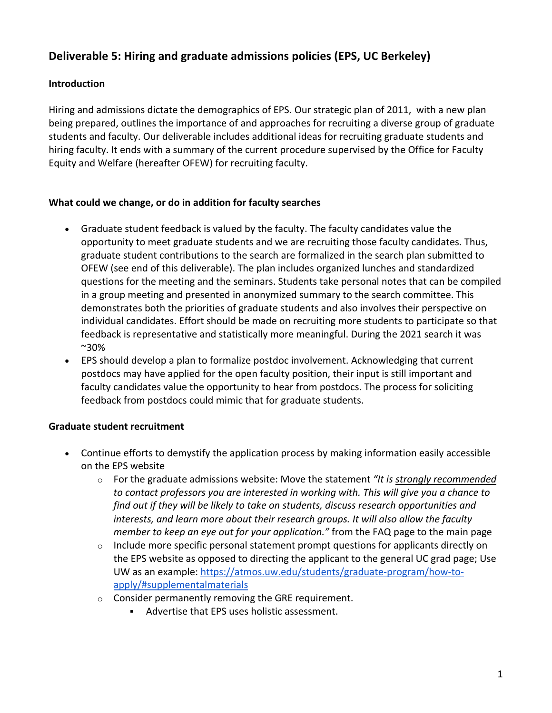# **Deliverable 5: Hiring and graduate admissions policies (EPS, UC Berkeley)**

## **Introduction**

Hiring and admissions dictate the demographics of EPS. Our strategic plan of 2011, with a new plan being prepared, outlines the importance of and approaches for recruiting a diverse group of graduate students and faculty. Our deliverable includes additional ideas for recruiting graduate students and hiring faculty. It ends with a summary of the current procedure supervised by the Office for Faculty Equity and Welfare (hereafter OFEW) for recruiting faculty.

### **What could we change, or do in addition for faculty searches**

- Graduate student feedback is valued by the faculty. The faculty candidates value the opportunity to meet graduate students and we are recruiting those faculty candidates. Thus, graduate student contributions to the search are formalized in the search plan submitted to OFEW (see end of this deliverable). The plan includes organized lunches and standardized questions for the meeting and the seminars. Students take personal notes that can be compiled in a group meeting and presented in anonymized summary to the search committee. This demonstrates both the priorities of graduate students and also involves their perspective on individual candidates. Effort should be made on recruiting more students to participate so that feedback is representative and statistically more meaningful. During the 2021 search it was ~30%
- EPS should develop a plan to formalize postdoc involvement. Acknowledging that current postdocs may have applied for the open faculty position, their input is still important and faculty candidates value the opportunity to hear from postdocs. The process for soliciting feedback from postdocs could mimic that for graduate students.

### **Graduate student recruitment**

- Continue efforts to demystify the application process by making information easily accessible on the EPS website
	- o For the graduate admissions website: Move the statement *"It is strongly recommended to contact professors you are interested in working with. This will give you a chance to find out if they will be likely to take on students, discuss research opportunities and interests, and learn more about their research groups. It will also allow the faculty member to keep an eye out for your application."* from the FAQ page to the main page
	- $\circ$  Include more specific personal statement prompt questions for applicants directly on the EPS website as opposed to directing the applicant to the general UC grad page; Use UW as an example: https://atmos.uw.edu/students/graduate-program/how-toapply/#supplementalmaterials
	- o Consider permanently removing the GRE requirement.
		- § Advertise that EPS uses holistic assessment.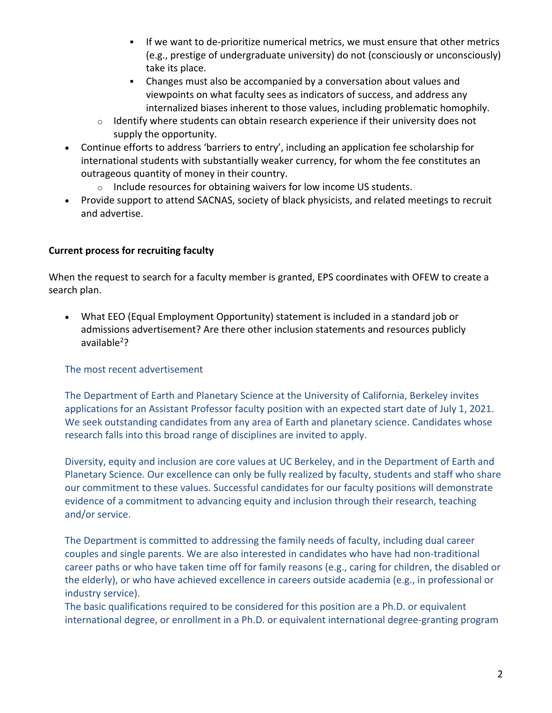- If we want to de-prioritize numerical metrics, we must ensure that other metrics (e.g., prestige of undergraduate university) do not (consciously or unconsciously) take its place.
- Changes must also be accompanied by a conversation about values and viewpoints on what faculty sees as indicators of success, and address any internalized biases inherent to those values, including problematic homophily.
- o Identify where students can obtain research experience if their university does not supply the opportunity.
- Continue efforts to address 'barriers to entry', including an application fee scholarship for international students with substantially weaker currency, for whom the fee constitutes an outrageous quantity of money in their country.
	- o Include resources for obtaining waivers for low income US students.
- Provide support to attend SACNAS, society of black physicists, and related meetings to recruit and advertise.

## **Current process for recruiting faculty**

When the request to search for a faculty member is granted, EPS coordinates with OFEW to create a search plan.

• What EEO (Equal Employment Opportunity) statement is included in a standard job or admissions advertisement? Are there other inclusion statements and resources publicly available<sup>2</sup>?

The most recent advertisement

The Department of Earth and Planetary Science at the University of California, Berkeley invites applications for an Assistant Professor faculty position with an expected start date of July 1, 2021. We seek outstanding candidates from any area of Earth and planetary science. Candidates whose research falls into this broad range of disciplines are invited to apply.

Diversity, equity and inclusion are core values at UC Berkeley, and in the Department of Earth and Planetary Science. Our excellence can only be fully realized by faculty, students and staff who share our commitment to these values. Successful candidates for our faculty positions will demonstrate evidence of a commitment to advancing equity and inclusion through their research, teaching and/or service.

The Department is committed to addressing the family needs of faculty, including dual career couples and single parents. We are also interested in candidates who have had non-traditional career paths or who have taken time off for family reasons (e.g., caring for children, the disabled or the elderly), or who have achieved excellence in careers outside academia (e.g., in professional or industry service).

The basic qualifications required to be considered for this position are a Ph.D. or equivalent international degree, or enrollment in a Ph.D. or equivalent international degree-granting program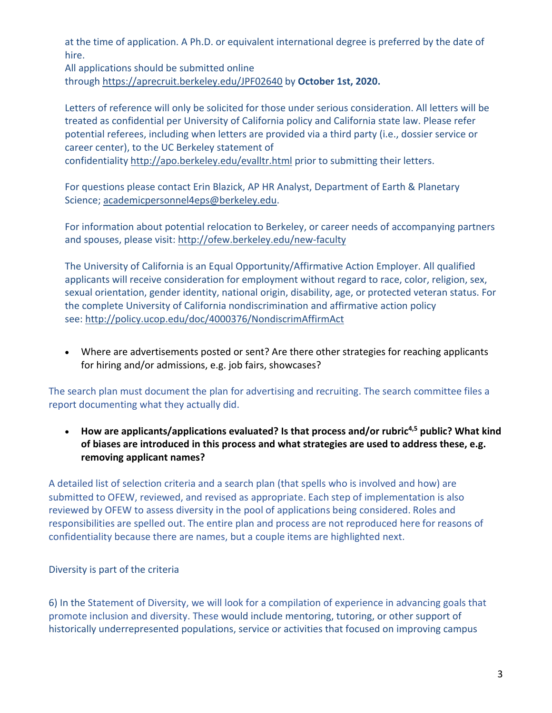at the time of application. A Ph.D. or equivalent international degree is preferred by the date of hire.

All applications should be submitted online through https://aprecruit.berkeley.edu/JPF02640 by **October 1st, 2020.**

Letters of reference will only be solicited for those under serious consideration. All letters will be treated as confidential per University of California policy and California state law. Please refer potential referees, including when letters are provided via a third party (i.e., dossier service or career center), to the UC Berkeley statement of

confidentiality http://apo.berkeley.edu/evalltr.html prior to submitting their letters.

For questions please contact Erin Blazick, AP HR Analyst, Department of Earth & Planetary Science; academicpersonnel4eps@berkeley.edu.

For information about potential relocation to Berkeley, or career needs of accompanying partners and spouses, please visit: http://ofew.berkeley.edu/new-faculty

The University of California is an Equal Opportunity/Affirmative Action Employer. All qualified applicants will receive consideration for employment without regard to race, color, religion, sex, sexual orientation, gender identity, national origin, disability, age, or protected veteran status. For the complete University of California nondiscrimination and affirmative action policy see: http://policy.ucop.edu/doc/4000376/NondiscrimAffirmAct

• Where are advertisements posted or sent? Are there other strategies for reaching applicants for hiring and/or admissions, e.g. job fairs, showcases?

The search plan must document the plan for advertising and recruiting. The search committee files a report documenting what they actually did.

• **How are applicants/applications evaluated? Is that process and/or rubric4,5 public? What kind of biases are introduced in this process and what strategies are used to address these, e.g. removing applicant names?**

A detailed list of selection criteria and a search plan (that spells who is involved and how) are submitted to OFEW, reviewed, and revised as appropriate. Each step of implementation is also reviewed by OFEW to assess diversity in the pool of applications being considered. Roles and responsibilities are spelled out. The entire plan and process are not reproduced here for reasons of confidentiality because there are names, but a couple items are highlighted next.

Diversity is part of the criteria

6) In the Statement of Diversity, we will look for a compilation of experience in advancing goals that promote inclusion and diversity. These would include mentoring, tutoring, or other support of historically underrepresented populations, service or activities that focused on improving campus